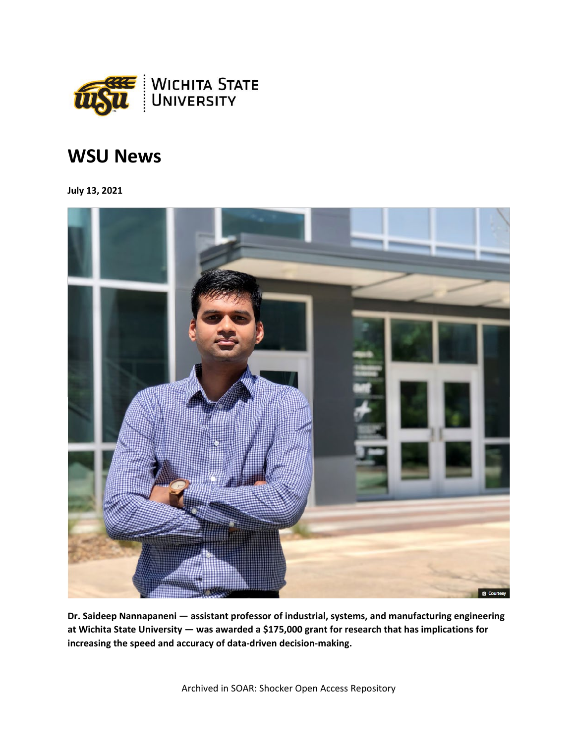

## **WSU News**

**July 13, 2021**



**Dr. Saideep Nannapaneni — assistant professor of industrial, systems, and manufacturing engineering at Wichita State University — was awarded a \$175,000 grant for research that has implications for increasing the speed and accuracy of data-driven decision-making.**

Archived in SOAR: Shocker Open Access Repository